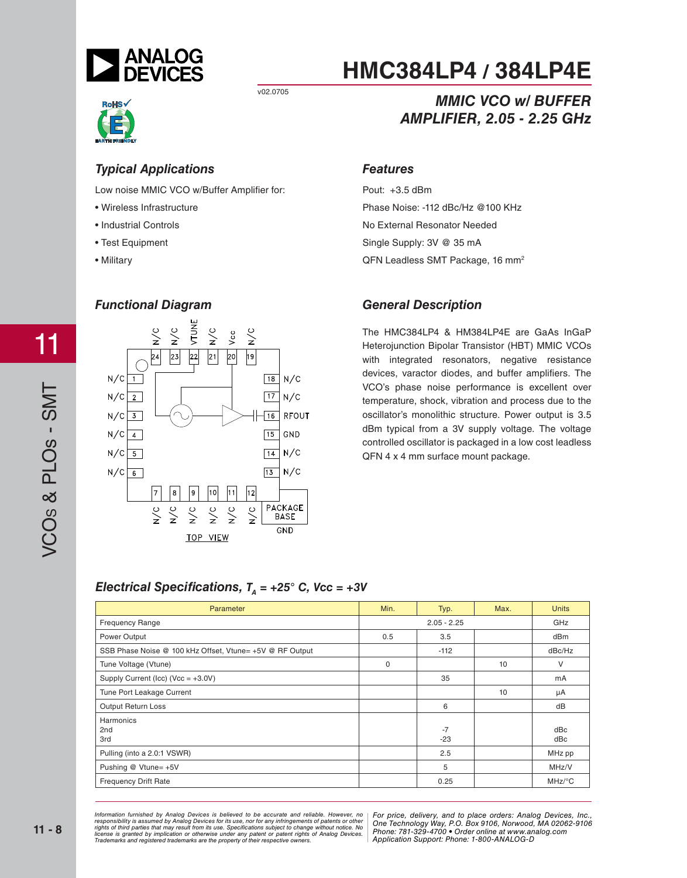

v02.0705



*Typical Applications* Low noise MMIC VCO w/Buffer Amplifier for:

- Wireless Infrastructure
- Industrial Controls
- Test Equipment
- Military



# **HMC384LP4 / 384LP4E**

### **MMIC VCO w/ BUFFER AMPLIFIER, 2.05 - 2.25 GHz** *AMPLIFIER, 2.05 - 2.25 GHz*

### **Features** *Features*

Pout: +3.5 dBm Phase Noise: -112 dBc/Hz @100 KHz No External Resonator Needed Single Supply: 3V @ 35 mA QFN Leadless SMT Package, 16 mm<sup>2</sup>

### *General Description*

The HMC384LP4 & HM384LP4E are GaAs InGaP Heterojunction Bipolar Transistor (HBT) MMIC VCOs with integrated resonators, negative resistance devices, varactor diodes, and buffer amplifiers. The VCO's phase noise performance is excellent over temperature, shock, vibration and process due to the oscillator's monolithic structure. Power output is 3.5 dBm typical from a 3V supply voltage. The voltage controlled oscillator is packaged in a low cost leadless QFN 4 x 4 mm surface mount package.

### *Electrical Specifications,*  $T_a = +25^\circ$  *C, Vcc = +3V*

| Parameter                                                | Min.          | Typ.          | Max. | <b>Units</b>                           |
|----------------------------------------------------------|---------------|---------------|------|----------------------------------------|
| <b>Frequency Range</b>                                   | $2.05 - 2.25$ |               | GHz  |                                        |
| Power Output                                             | 0.5           | 3.5           |      | dBm                                    |
| SSB Phase Noise @ 100 kHz Offset, Vtune= +5V @ RF Output |               | $-112$        |      | dBc/Hz                                 |
| Tune Voltage (Vtune)                                     | 0             |               | 10   | V                                      |
| Supply Current (Icc) (Vcc = $+3.0V$ )                    |               | 35            |      | mA                                     |
| Tune Port Leakage Current                                |               |               | 10   | μA                                     |
| Output Return Loss                                       |               | 6             |      | dB                                     |
| Harmonics<br>2nd<br>3rd                                  |               | $-7$<br>$-23$ |      | dBc<br>dBc                             |
| Pulling (into a 2.0:1 VSWR)                              |               | 2.5           |      | MHz pp                                 |
| Pushing @ Vtune= +5V                                     |               | 5             |      | MHz/V                                  |
| <b>Frequency Drift Rate</b>                              |               | 0.25          |      | $MHz$ <sup> <math>\circ</math></sup> C |

*For price, delivered, delieved to be accurate and reliable. However, no* | For price, delivery, and to place orders: Analog *20 Alpha Road, Certification in a use, individually and the magnetic structure in the Hondingly Way, P.O. Box 9106, Norwood, Alpha Alpha Road, Alpha Road, 2794-3343 Fax: 978-250-3343 Fax: 978-250-3343 Fax: 978-250-33843 F Or patent rights or Analog Devices.* There is the component of the position of the position of the position of  $\alpha$ Information furnished by Analog Devices is believed to be accurate and reliable. However, no<br>responsibility is assumed by Analog Devices for its use, nor for any infringements of patents or other<br>rights of third parties th

*For price, delivery, and to place orders: Analog Devices, Inc., One Technology Way, P.O. Box 9106, Norwood, MA 02062-9106 Phone: 781-329-4700 • Order online at www.analog.com Application Support: Phone: 1-800-ANALOG-D*

11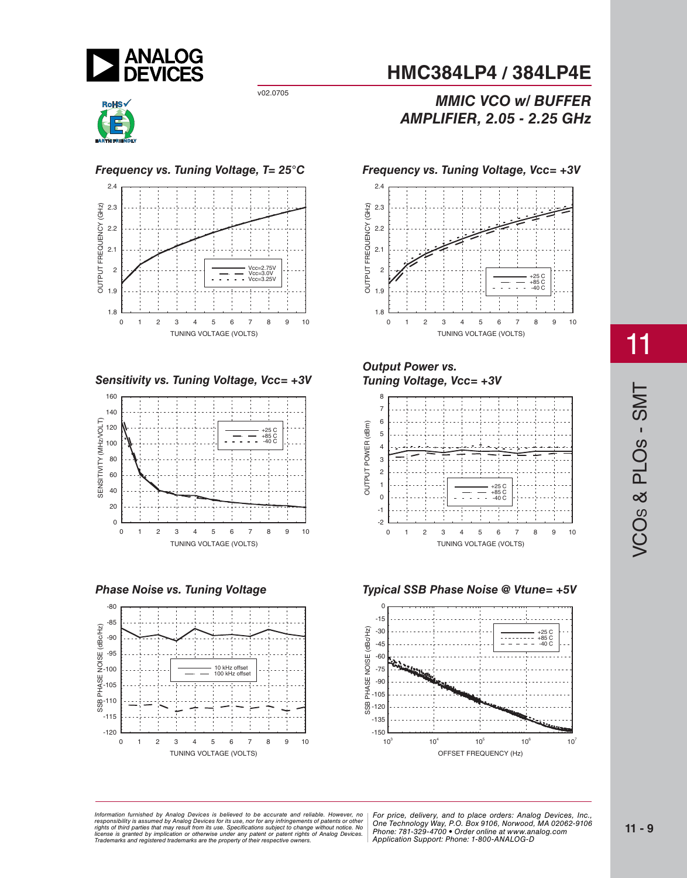

v02.0705



### *Frequency vs. Tuning Voltage, T= 25°C*









### **MMIC VCO w/ BUFFER** *MMIC VCO w/ BUFFER AMPLIFIER, 2.05 - 2.25 GHz*



## *Tuning Voltage V*





11

VCO<sub>S</sub> & PLO<sub>S</sub> - SMT S & PLOs - SMT

*For price, delivered, delieved to be accurate and reliable. However, no* | For price, delivery, and to place orders: Analog *20 Alpha Road, Certification in a use, individually and the magnetic structure in the Hondingly Way, P.O. Box 9106, Norwood, Alpha Alpha Road, Alpha Road, 2794-3343 Fax: 978-250-3343 Fax: 978-250-3343 Fax: 978-250-33843 F Or patent rights or Analog Devices.* There is the component of the position of the position of the position of  $\alpha$ Information furnished by Analog Devices is believed to be accurate and reliable. However, no<br>responsibility is assumed by Analog Devices for its use, nor for any infringements of patents or other<br>rights of third parties th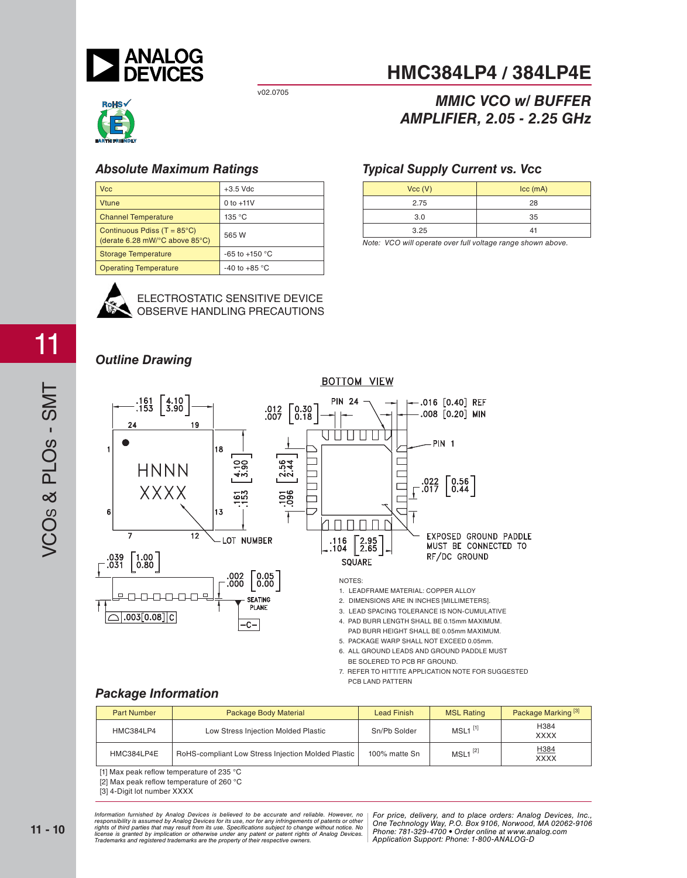

v02.0705



| <b>Vcc</b>                                                             | $+3.5$ Vdc               |
|------------------------------------------------------------------------|--------------------------|
| <b>Vtune</b>                                                           | $0$ to $+11V$            |
| <b>Channel Temperature</b>                                             | 135 °C                   |
| Continuous Pdiss $(T = 85^{\circ}C)$<br>(derate 6.28 mW/°C above 85°C) | 565 W                    |
| <b>Storage Temperature</b>                                             | -65 to +150 $^{\circ}$ C |
| <b>Operating Temperature</b>                                           | -40 to +85 $\degree$ C   |



### ELECTROSTATIC SENSITIVE DEVICE OBSERVE HANDLING PRECAUTIONS

# **HMC384LP4 / 384LP4E**

### **MMIC VCO w/ BUFFER AMPLIFIER, 2.05 - 2.25 GHz** *AMPLIFIER, 2.05 - 2.25 GHz*

### *Typical Supply Current vs. Vcc*

| Vcc (V) | $ cc$ (mA) |
|---------|------------|
| 2.75    | 28         |
| 3.0     | 35         |
| 3.25    |            |

*Note: VCO will operate over full voltage range shown above.*



- 4. PAD BURR LENGTH SHALL BE 0.15mm MAXIMUM.
- PAD BURR HEIGHT SHALL BE 0.05mm MAXIMUM.
- 5. PACKAGE WARP SHALL NOT EXCEED 0.05mm.
- 6. ALL GROUND LEADS AND GROUND PADDLE MUST BE SOLERED TO PCB RF GROUND.
- 7. REFER TO HITTITE APPLICATION NOTE FOR SUGGESTED PCB LAND PATTERN

### *Package Information*

 $.003[0.08][C]$ 

| <b>Part Number</b> | Package Body Material                              | <b>Lead Finish</b> | <b>MSL Rating</b>     | Package Marking <sup>[3]</sup> |
|--------------------|----------------------------------------------------|--------------------|-----------------------|--------------------------------|
| HMC384LP4          | Low Stress Injection Molded Plastic                | Sn/Pb Solder       | $MSL1$ <sup>[1]</sup> | H384<br><b>XXXX</b>            |
| HMC384LP4E         | RoHS-compliant Low Stress Injection Molded Plastic | 100% matte Sn      | $MSL1^{[2]}$          | H384<br><b>XXXX</b>            |

[1] Max peak reflow temperature of 235  $^{\circ}$ C

[2] Max peak reflow temperature of 260 °C

[3] 4-Digit lot number XXXX

*For price, delivered, delieved to be accurate and reliable. However, no* | For price, delivery, and to place orders: Analog *20 Alpha Road, Certification in a use, individually and the magnetic structure in the Hondingly Way, P.O. Box 9106, Norwood, Alpha Alpha Road, Alpha Road, 2794-3343 Fax: 978-250-3343 Fax: 978-250-3343 Fax: 978-250-33843 F Or patent rights or Analog Devices.* There is the component of the position of the position of the position of  $\alpha$ Information furnished by Analog Devices is believed to be accurate and reliable. However, no<br>responsibility is assumed by Analog Devices for its use, nor for any infringements of patents or other<br>rights of third parties th

 $-c-$ 

*For price, delivery, and to place orders: Analog Devices, Inc., One Technology Way, P.O. Box 9106, Norwood, MA 02062-9106 Phone: 781-329-4700 • Order online at www.analog.com Application Support: Phone: 1-800-ANALOG-D*

# VCO<sub>S</sub> & PLO<sub>S</sub> - SMT S & PLOs - SMT

11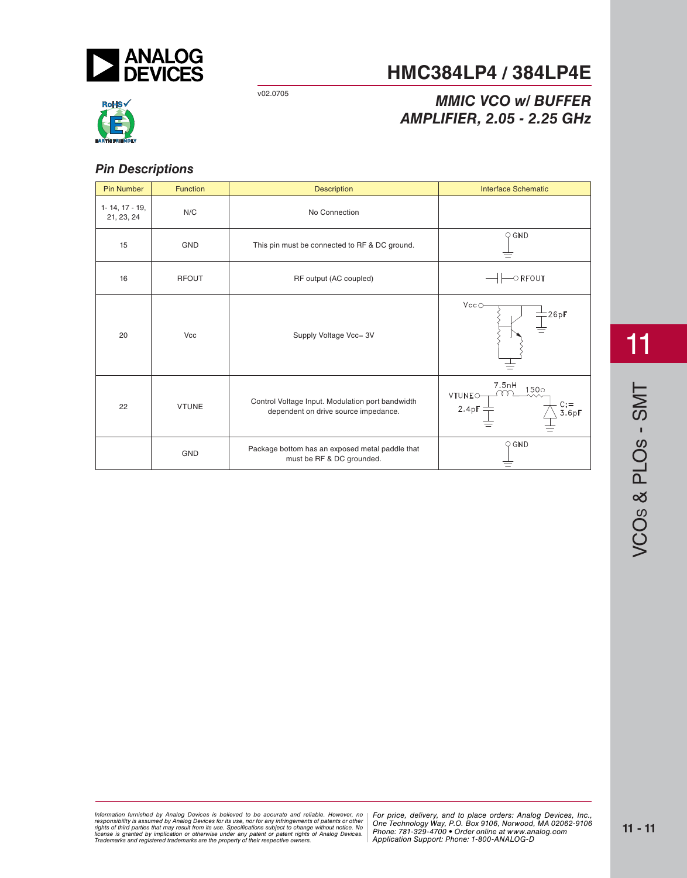

**HMC384LP4 / 384LP4E**

v02.0705

# *MMIC VCO w/ BUFFER AMPLIFIER, 2.05 - 2.25 GHz*



### *Pin Descriptions*

| <b>Pin Number</b>                    | Function     | <b>Description</b>                                                                       | <b>Interface Schematic</b>                                         |
|--------------------------------------|--------------|------------------------------------------------------------------------------------------|--------------------------------------------------------------------|
| $1 - 14$ , $17 - 19$ ,<br>21, 23, 24 | N/C          | No Connection                                                                            |                                                                    |
| 15                                   | <b>GND</b>   | This pin must be connected to RF & DC ground.                                            | $\circ$ GND                                                        |
| 16                                   | <b>RFOUT</b> | RF output (AC coupled)                                                                   | $\circ$ RFOUT                                                      |
| 20                                   | Vcc          | Supply Voltage Vcc= 3V                                                                   | Vcc<br>26pF                                                        |
| 22                                   | <b>VTUNE</b> | Control Voltage Input. Modulation port bandwidth<br>dependent on drive source impedance. | 7.5nH<br>150 <sub>0</sub><br>VTUNEO-<br>2.4pF<br>3.6 <sub>pl</sub> |
|                                      | GND          | Package bottom has an exposed metal paddle that<br>must be RF & DC grounded.             | $\bigcirc$ GND                                                     |

11

*For price, delivered, delieved to be accurate and reliable. However, no* | For price, delivery, and to place orders: Analog *20 Alpha Road, Certification in a use, individually and the magnetic structure in the Hondingly Way, P.O. Box 9106, Norwood, Alpha Alpha Road, Alpha Road, 2794-3343 Fax: 978-250-3343 Fax: 978-250-3343 Fax: 978-250-33843 F Or patent rights or Analog Devices.* There is the component of the position of the position of the position of  $\alpha$ Information furnished by Analog Devices is believed to be accurate and reliable. However, no<br>responsibility is assumed by Analog Devices for its use, nor for any infringements of patents or other<br>rights of third parties th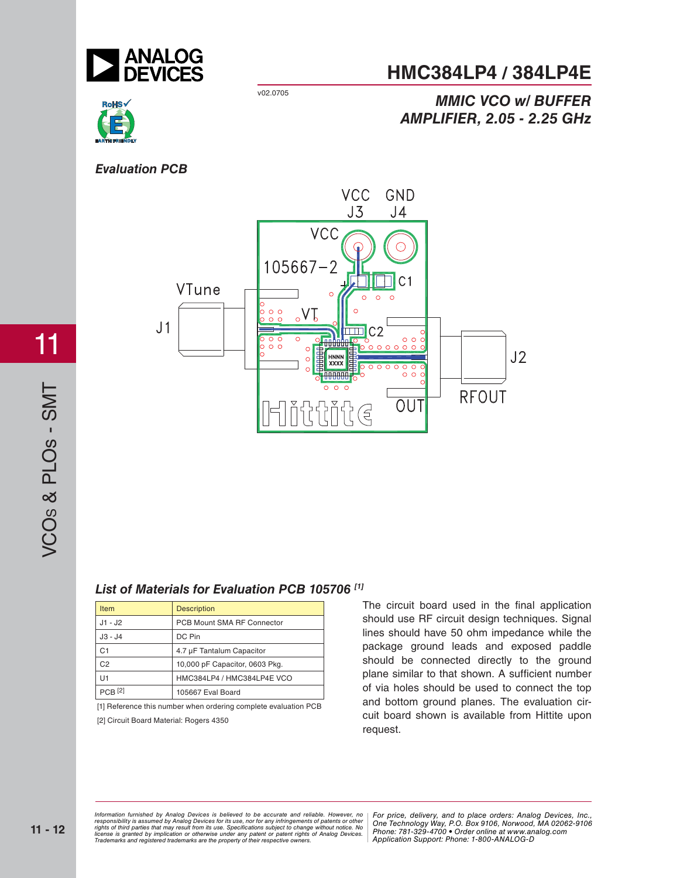

### **HMC384LP4 / 384LP4E**

**AMPLIFIER, 2.05 - 2.25 GHz** *AMPLIFIER, 2.05 - 2.25 GHz* 

**MMIC VCO w/ BUFFER** 

v02.0705

# RoHS√



### *List of Materials for Evaluation PCB 105706 [1]*

| <b>Item</b>    | <b>Description</b>             |
|----------------|--------------------------------|
| $J1 - J2$      | PCB Mount SMA RF Connector     |
| J3 - J4        | DC Pin                         |
| C <sub>1</sub> | 4.7 µF Tantalum Capacitor      |
| C <sub>2</sub> | 10,000 pF Capacitor, 0603 Pkg. |
| U1             | HMC384LP4 / HMC384LP4E VCO     |
| $PCB$ [2]      | 105667 Eval Board              |

[1] Reference this number when ordering complete evaluation PCB [2] Circuit Board Material: Rogers 4350

The circuit board used in the final application should use RF circuit design techniques. Signal lines should have 50 ohm impedance while the package ground leads and exposed paddle should be connected directly to the ground plane similar to that shown. A sufficient number of via holes should be used to connect the top and bottom ground planes. The evaluation circuit board shown is available from Hittite upon request.

*For price, delivered, delieved to be accurate and reliable. However, no* | For price, delivery, and to place orders: Analog *20 Alpha Road, Certification in a use, individually and the magnetic structure in the Hondingly Way, P.O. Box 9106, Norwood, Alpha Alpha Road, Alpha Road, 2794-3343 Fax: 978-250-3343 Fax: 978-250-3343 Fax: 978-250-33843 F Or patent rights or Analog Devices.* There is the component of the position of the position of the position of  $\alpha$ Information furnished by Analog Devices is believed to be accurate and reliable. However, no<br>responsibility is assumed by Analog Devices for its use, nor for any infringements of patents or other<br>rights of third parties th